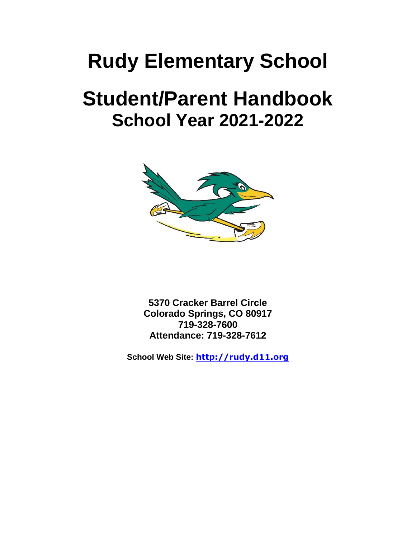# **Rudy Elementary School**

# **Student/Parent Handbook School Year 2021-2022**



**5370 Cracker Barrel Circle Colorado Springs, CO 80917 719-328-7600 Attendance: 719-328-7612**

**School Web Site: [http://rudy.d11.org](http://rudy.d11.org/)**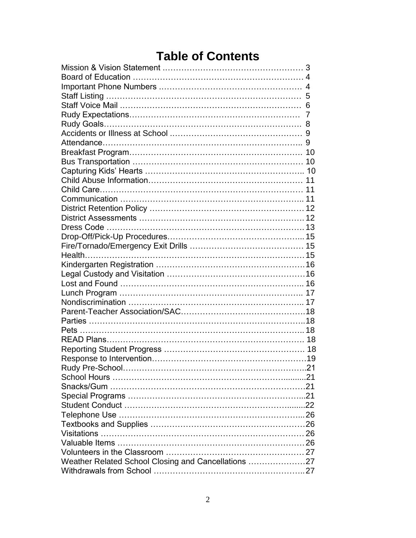# **Table of Contents**

| Weather Related School Closing and Cancellations 27 |  |
|-----------------------------------------------------|--|
|                                                     |  |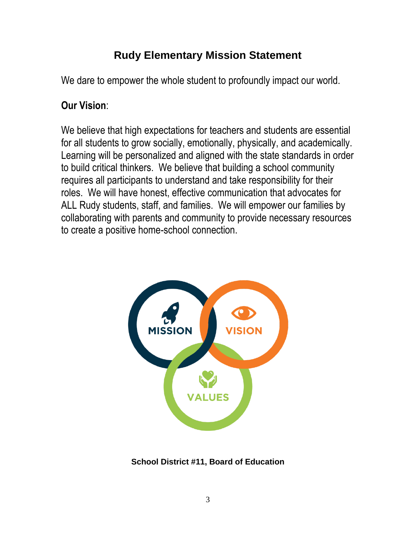# **Rudy Elementary Mission Statement**

We dare to empower the whole student to profoundly impact our world.

# **Our Vision**:

We believe that high expectations for teachers and students are essential for all students to grow socially, emotionally, physically, and academically. Learning will be personalized and aligned with the state standards in order to build critical thinkers. We believe that building a school community requires all participants to understand and take responsibility for their roles. We will have honest, effective communication that advocates for ALL Rudy students, staff, and families. We will empower our families by collaborating with parents and community to provide necessary resources to create a positive home-school connection.



**School District #11, Board of Education**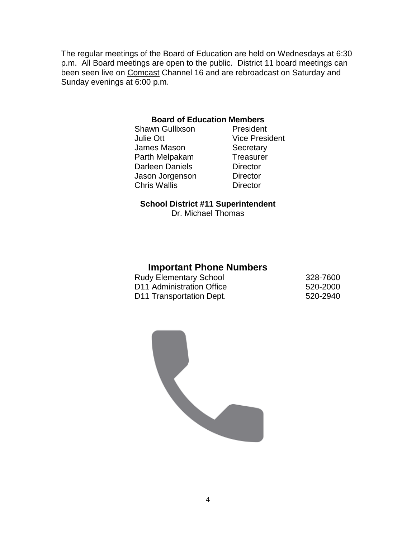The regular meetings of the Board of Education are held on Wednesdays at 6:30 p.m. All Board meetings are open to the public. District 11 board meetings can been seen live on [Comcast](http://www.d11.org/boe/Meetings/09-10/) Channel 16 and are rebroadcast on Saturday and Sunday evenings at 6:00 p.m.

#### **Board of Education Members**

Shawn Gullixson President Julie Ott Vice President James Mason Secretary Parth Melpakam Treasurer Darleen Daniels **Director** Jason Jorgenson Director Chris Wallis Director

#### **School District #11 Superintendent**

Dr. Michael Thomas

#### **Important Phone Numbers**

| <b>Rudy Elementary School</b>         | 328-7600 |
|---------------------------------------|----------|
| D <sub>11</sub> Administration Office | 520-2000 |
| D11 Transportation Dept.              | 520-2940 |

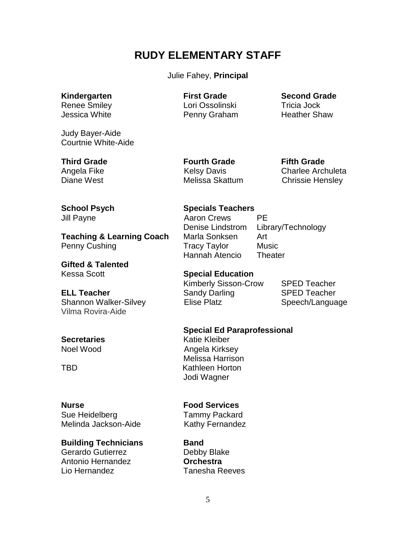# **RUDY ELEMENTARY STAFF**

#### Julie Fahey, **Principal**

Judy Bayer-Aide Courtnie White-Aide

**Teaching & Learning Coach** Marla Sonksen Art Penny Cushing **Tracy Taylor** Music

**Gifted & Talented** Kessa Scott **Special Education**

**ELL Teacher** Sandy Darling SPED Teacher Shannon Walker-Silvey **Elise Platz** Speech/Language Vilma Rovira-Aide

Sue Heidelberg Tammy Packard Melinda Jackson-Aide Kathy Fernandez

#### **Building Technicians Band**

Gerardo Gutierrez **Debby Blake** Antonio Hernandez **Orchestra** Lio Hernandez Tanesha Reeves

Renee Smiley **Lori Ossolinski** Tricia Jock Jessica White **Penny Graham** Heather Shaw

**Kindergarten First Grade Second Grade**

**Third Grade Fourth Grade Fifth Grade**

Angela Fike **Kelsy Davis** Charlee Archuleta Diane West **Melissa Skattum** Chrissie Hensley

#### **School Psych Specials Teachers**

Jill Payne **Aaron Crews** PE Denise Lindstrom Library/Technology **Hannah Atencio** Theater

Kimberly Sisson-Crow SPED Teacher

#### **Special Ed Paraprofessional**

**Secretaries** Katie Kleiber Noel Wood **Angela Kirksey** Melissa Harrison TBD Kathleen Horton Jodi Wagner

#### **Nurse Food Services**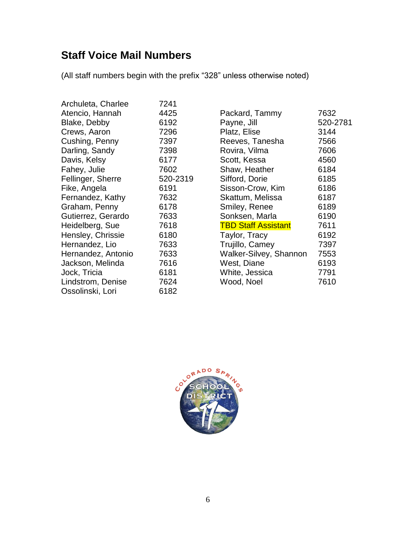# **Staff Voice Mail Numbers**

(All staff numbers begin with the prefix "328" unless otherwise noted)

| Archuleta, Charlee | 7241     |
|--------------------|----------|
| Atencio, Hannah    | 4425     |
| Blake, Debby       | 6192     |
| Crews, Aaron       | 7296     |
| Cushing, Penny     | 7397     |
| Darling, Sandy     | 7398     |
| Davis, Kelsy       | 6177     |
| Fahey, Julie       | 7602     |
| Fellinger, Sherre  | 520-2319 |
| Fike, Angela       | 6191     |
| Fernandez, Kathy   | 7632     |
| Graham, Penny      | 6178     |
| Gutierrez, Gerardo | 7633     |
| Heidelberg, Sue    | 7618     |
| Hensley, Chrissie  | 6180     |
| Hernandez, Lio     | 7633     |
| Hernandez, Antonio | 7633     |
| Jackson, Melinda   | 7616     |
| Jock, Tricia       | 6181     |
| Lindstrom, Denise  | 7624     |
| Ossolinski, Lori   | 6182     |

| Packard, Tammy                | 7632     |
|-------------------------------|----------|
| Payne, Jill                   | 520-2781 |
| Platz, Elise                  | 3144     |
| Reeves, Tanesha               | 7566     |
| Rovira, Vilma                 | 7606     |
| Scott, Kessa                  | 4560     |
| Shaw, Heather                 | 6184     |
| Sifford, Dorie                | 6185     |
| Sisson-Crow, Kim              | 6186     |
| Skattum, Melissa              | 6187     |
| Smiley, Renee                 | 6189     |
| Sonksen, Marla                | 6190     |
| <b>TBD Staff Assistant</b>    | 7611     |
| Taylor, Tracy                 | 6192     |
| Trujillo, Camey               | 7397     |
| <b>Walker-Silvey, Shannon</b> | 7553     |
| West, Diane                   | 6193     |
| White, Jessica                | 7791     |
| Wood, Noel                    | 7610     |
|                               |          |

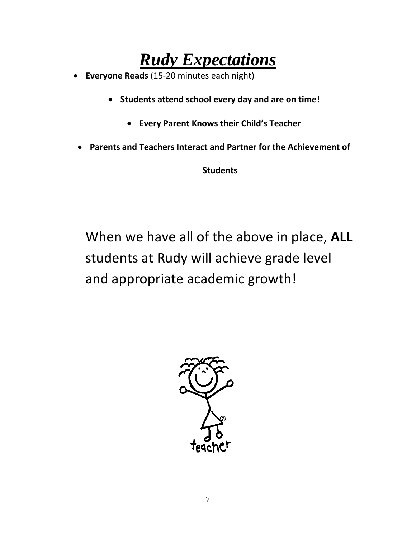# *Rudy Expectations*

- **Everyone Reads** (15-20 minutes each night)
	- **Students attend school every day and are on time!**
		- **Every Parent Knows their Child's Teacher**
	- **Parents and Teachers Interact and Partner for the Achievement of**

**Students**

When we have all of the above in place, **ALL** students at Rudy will achieve grade level and appropriate academic growth!

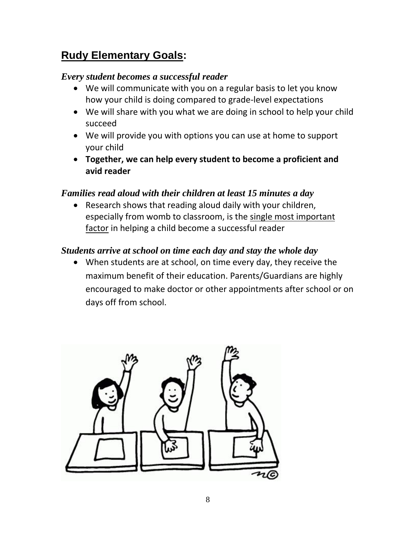# **Rudy Elementary Goals:**

# *Every student becomes a successful reader*

- We will communicate with you on a regular basis to let you know how your child is doing compared to grade-level expectations
- We will share with you what we are doing in school to help your child succeed
- We will provide you with options you can use at home to support your child
- **Together, we can help every student to become a proficient and avid reader**

# *Families read aloud with their children at least 15 minutes a day*

• Research shows that reading aloud daily with your children, especially from womb to classroom, is the single most important factor in helping a child become a successful reader

# *Students arrive at school on time each day and stay the whole day*

• When students are at school, on time every day, they receive the maximum benefit of their education. Parents/Guardians are highly encouraged to make doctor or other appointments after school or on days off from school.

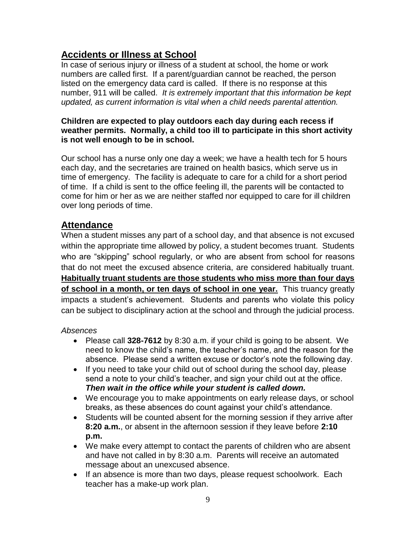# **Accidents or Illness at School**

In case of serious injury or illness of a student at school, the home or work numbers are called first. If a parent/guardian cannot be reached, the person listed on the emergency data card is called. If there is no response at this number, 911 will be called. *It is extremely important that this information be kept updated, as current information is vital when a child needs parental attention.*

#### **Children are expected to play outdoors each day during each recess if weather permits. Normally, a child too ill to participate in this short activity is not well enough to be in school.**

Our school has a nurse only one day a week; we have a health tech for 5 hours each day, and the secretaries are trained on health basics, which serve us in time of emergency. The facility is adequate to care for a child for a short period of time. If a child is sent to the office feeling ill, the parents will be contacted to come for him or her as we are neither staffed nor equipped to care for ill children over long periods of time.

# **Attendance**

When a student misses any part of a school day, and that absence is not excused within the appropriate time allowed by policy, a student becomes truant. Students who are "skipping" school regularly, or who are absent from school for reasons that do not meet the excused absence criteria, are considered habitually truant. **Habitually truant students are those students who miss more than four days of school in a month, or ten days of school in one year.** This truancy greatly impacts a student's achievement. Students and parents who violate this policy can be subject to disciplinary action at the school and through the judicial process.

#### *Absences*

- Please call **328-7612** by 8:30 a.m. if your child is going to be absent. We need to know the child's name, the teacher's name, and the reason for the absence. Please send a written excuse or doctor's note the following day.
- If you need to take your child out of school during the school day, please send a note to your child's teacher, and sign your child out at the office. *Then wait in the office while your student is called down.*
- We encourage you to make appointments on early release days, or school breaks, as these absences do count against your child's attendance.
- Students will be counted absent for the morning session if they arrive after **8:20 a.m.**, or absent in the afternoon session if they leave before **2:10 p.m.**
- We make every attempt to contact the parents of children who are absent and have not called in by 8:30 a.m. Parents will receive an automated message about an unexcused absence.
- If an absence is more than two days, please request schoolwork. Each teacher has a make-up work plan.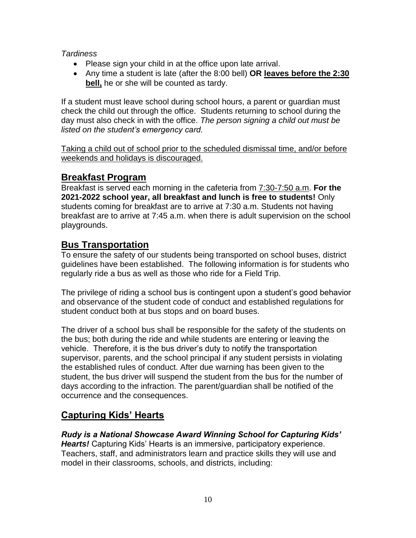*Tardiness*

- Please sign your child in at the office upon late arrival.
- Any time a student is late (after the 8:00 bell) **OR leaves before the 2:30 bell,** he or she will be counted as tardy.

If a student must leave school during school hours, a parent or guardian must check the child out through the office. Students returning to school during the day must also check in with the office. *The person signing a child out must be listed on the student's emergency card.*

Taking a child out of school prior to the scheduled dismissal time, and/or before weekends and holidays is discouraged.

# **Breakfast Program**

Breakfast is served each morning in the cafeteria from 7:30-7:50 a.m. **For the 2021-2022 school year, all breakfast and lunch is free to students!** Only students coming for breakfast are to arrive at 7:30 a.m. Students not having breakfast are to arrive at 7:45 a.m. when there is adult supervision on the school playgrounds.

# **Bus Transportation**

To ensure the safety of our students being transported on school buses, district guidelines have been established. The following information is for students who regularly ride a bus as well as those who ride for a Field Trip.

The privilege of riding a school bus is contingent upon a student's good behavior and observance of the student code of conduct and established regulations for student conduct both at bus stops and on board buses.

The driver of a school bus shall be responsible for the safety of the students on the bus; both during the ride and while students are entering or leaving the vehicle. Therefore, it is the bus driver's duty to notify the transportation supervisor, parents, and the school principal if any student persists in violating the established rules of conduct. After due warning has been given to the student, the bus driver will suspend the student from the bus for the number of days according to the infraction. The parent/guardian shall be notified of the occurrence and the consequences.

# **Capturing Kids' Hearts**

*Rudy is a National Showcase Award Winning School for Capturing Kids' Hearts!* Capturing Kids' Hearts is an immersive, participatory experience. Teachers, staff, and administrators learn and practice skills they will use and model in their classrooms, schools, and districts, including: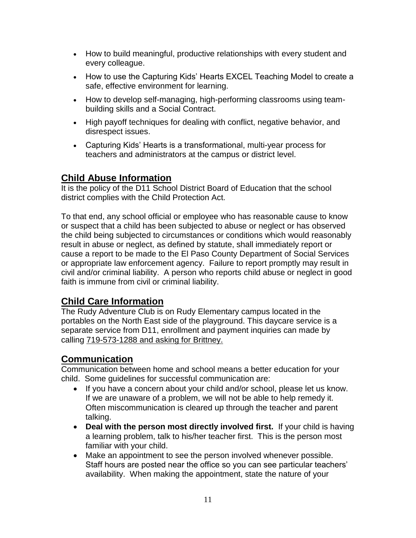- How to build meaningful, productive relationships with every student and every colleague.
- How to use the Capturing Kids' Hearts EXCEL Teaching Model to create a safe, effective environment for learning.
- How to develop self-managing, high-performing classrooms using teambuilding skills and a Social Contract.
- High payoff techniques for dealing with conflict, negative behavior, and disrespect issues.
- Capturing Kids' Hearts is a transformational, multi-year process for teachers and administrators at the campus or district level.

# **Child Abuse Information**

It is the policy of the D11 School District Board of Education that the school district complies with the Child Protection Act.

To that end, any school official or employee who has reasonable cause to know or suspect that a child has been subjected to abuse or neglect or has observed the child being subjected to circumstances or conditions which would reasonably result in abuse or neglect, as defined by statute, shall immediately report or cause a report to be made to the El Paso County Department of Social Services or appropriate law enforcement agency. Failure to report promptly may result in civil and/or criminal liability. A person who reports child abuse or neglect in good faith is immune from civil or criminal liability.

# **Child Care Information**

The Rudy Adventure Club is on Rudy Elementary campus located in the portables on the North East side of the playground. This daycare service is a separate service from D11, enrollment and payment inquiries can made by calling 719-573-1288 and asking for Brittney.

# **Communication**

Communication between home and school means a better education for your child. Some guidelines for successful communication are:

- If you have a concern about your child and/or school, please let us know. If we are unaware of a problem, we will not be able to help remedy it. Often miscommunication is cleared up through the teacher and parent talking.
- **Deal with the person most directly involved first.** If your child is having a learning problem, talk to his/her teacher first. This is the person most familiar with your child.
- Make an appointment to see the person involved whenever possible. Staff hours are posted near the office so you can see particular teachers' availability. When making the appointment, state the nature of your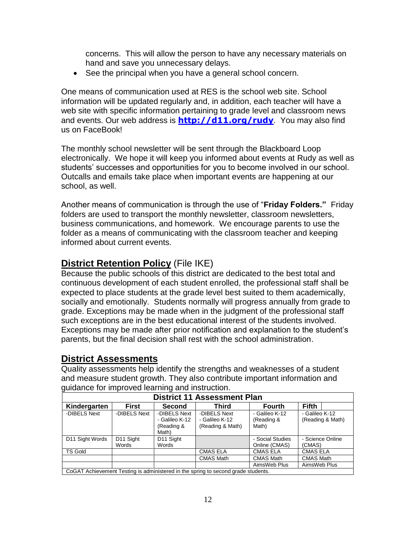concerns. This will allow the person to have any necessary materials on hand and save you unnecessary delays.

• See the principal when you have a general school concern.

One means of communication used at RES is the school web site. School information will be updated regularly and, in addition, each teacher will have a web site with specific information pertaining to grade level and classroom news and events. Our web address is **<http://d11.org/>rudy**. You may also find us on FaceBook!

The monthly school newsletter will be sent through the Blackboard Loop electronically. We hope it will keep you informed about events at Rudy as well as students' successes and opportunities for you to become involved in our school. Outcalls and emails take place when important events are happening at our school, as well.

Another means of communication is through the use of "**Friday Folders."** Friday folders are used to transport the monthly newsletter, classroom newsletters, business communications, and homework. We encourage parents to use the folder as a means of communicating with the classroom teacher and keeping informed about current events.

# **District Retention Policy** (File IKE)

Because the public schools of this district are dedicated to the best total and continuous development of each student enrolled, the professional staff shall be expected to place students at the grade level best suited to them academically, socially and emotionally. Students normally will progress annually from grade to grade. Exceptions may be made when in the judgment of the professional staff such exceptions are in the best educational interest of the students involved. Exceptions may be made after prior notification and explanation to the student's parents, but the final decision shall rest with the school administration.

# **District Assessments**

Quality assessments help identify the strengths and weaknesses of a student and measure student growth. They also contribute important information and guidance for improved learning and instruction.

| <b>District 11 Assessment Plan</b>                                                |                                |                                                       |                                                    |                                       |                                    |
|-----------------------------------------------------------------------------------|--------------------------------|-------------------------------------------------------|----------------------------------------------------|---------------------------------------|------------------------------------|
| Kindergarten                                                                      | <b>First</b>                   | <b>Second</b>                                         | Third                                              | <b>Fourth</b>                         | <b>Fifth</b>                       |
| -DIBELS Next                                                                      | -DIBELS Next                   | -DIBELS Next<br>- Galileo K-12<br>(Reading &<br>Math) | -DIBELS Next<br>- Galileo K-12<br>(Reading & Math) | - Galileo K-12<br>(Reading &<br>Math) | - Galileo K-12<br>(Reading & Math) |
| D11 Sight Words                                                                   | D <sub>11</sub> Sight<br>Words | D <sub>11</sub> Sight<br>Words                        |                                                    | - Social Studies<br>Online (CMAS)     | - Science Online<br>(CMAS)         |
| <b>TS Gold</b>                                                                    |                                |                                                       | <b>CMAS ELA</b>                                    | <b>CMAS ELA</b>                       | <b>CMAS ELA</b>                    |
|                                                                                   |                                |                                                       | <b>CMAS Math</b>                                   | <b>CMAS Math</b>                      | <b>CMAS Math</b>                   |
|                                                                                   |                                |                                                       |                                                    | AimsWeb Plus                          | AimsWeb Plus                       |
| CoGAT Achievement Testing is administered in the spring to second grade students. |                                |                                                       |                                                    |                                       |                                    |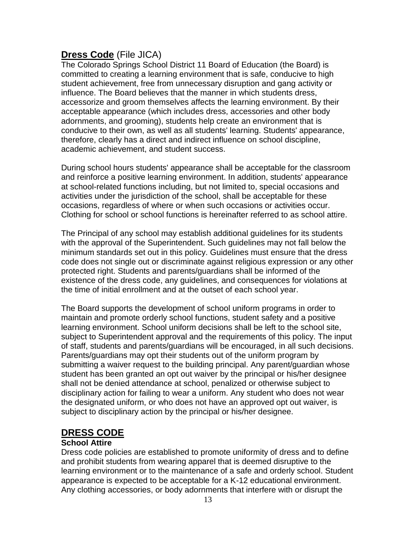# **Dress Code** (File JICA)

The Colorado Springs School District 11 Board of Education (the Board) is committed to creating a learning environment that is safe, conducive to high student achievement, free from unnecessary disruption and gang activity or influence. The Board believes that the manner in which students dress, accessorize and groom themselves affects the learning environment. By their acceptable appearance (which includes dress, accessories and other body adornments, and grooming), students help create an environment that is conducive to their own, as well as all students' learning. Students' appearance, therefore, clearly has a direct and indirect influence on school discipline, academic achievement, and student success.

During school hours students' appearance shall be acceptable for the classroom and reinforce a positive learning environment. In addition, students' appearance at school-related functions including, but not limited to, special occasions and activities under the jurisdiction of the school, shall be acceptable for these occasions, regardless of where or when such occasions or activities occur. Clothing for school or school functions is hereinafter referred to as school attire.

The Principal of any school may establish additional guidelines for its students with the approval of the Superintendent. Such guidelines may not fall below the minimum standards set out in this policy. Guidelines must ensure that the dress code does not single out or discriminate against religious expression or any other protected right. Students and parents/guardians shall be informed of the existence of the dress code, any guidelines, and consequences for violations at the time of initial enrollment and at the outset of each school year.

The Board supports the development of school uniform programs in order to maintain and promote orderly school functions, student safety and a positive learning environment. School uniform decisions shall be left to the school site, subject to Superintendent approval and the requirements of this policy. The input of staff, students and parents/guardians will be encouraged, in all such decisions. Parents/guardians may opt their students out of the uniform program by submitting a waiver request to the building principal. Any parent/guardian whose student has been granted an opt out waiver by the principal or his/her designee shall not be denied attendance at school, penalized or otherwise subject to disciplinary action for failing to wear a uniform. Any student who does not wear the designated uniform, or who does not have an approved opt out waiver, is subject to disciplinary action by the principal or his/her designee.

# **DRESS CODE**

#### **School Attire**

Dress code policies are established to promote uniformity of dress and to define and prohibit students from wearing apparel that is deemed disruptive to the learning environment or to the maintenance of a safe and orderly school. Student appearance is expected to be acceptable for a K-12 educational environment. Any clothing accessories, or body adornments that interfere with or disrupt the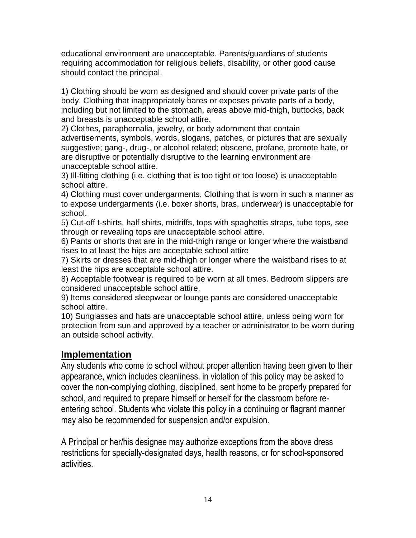educational environment are unacceptable. Parents/guardians of students requiring accommodation for religious beliefs, disability, or other good cause should contact the principal.

1) Clothing should be worn as designed and should cover private parts of the body. Clothing that inappropriately bares or exposes private parts of a body, including but not limited to the stomach, areas above mid-thigh, buttocks, back and breasts is unacceptable school attire.

2) Clothes, paraphernalia, jewelry, or body adornment that contain advertisements, symbols, words, slogans, patches, or pictures that are sexually suggestive; gang-, drug-, or alcohol related; obscene, profane, promote hate, or are disruptive or potentially disruptive to the learning environment are unacceptable school attire.

3) Ill-fitting clothing (i.e. clothing that is too tight or too loose) is unacceptable school attire.

4) Clothing must cover undergarments. Clothing that is worn in such a manner as to expose undergarments (i.e. boxer shorts, bras, underwear) is unacceptable for school.

5) Cut-off t-shirts, half shirts, midriffs, tops with spaghettis straps, tube tops, see through or revealing tops are unacceptable school attire.

6) Pants or shorts that are in the mid-thigh range or longer where the waistband rises to at least the hips are acceptable school attire

7) Skirts or dresses that are mid-thigh or longer where the waistband rises to at least the hips are acceptable school attire.

8) Acceptable footwear is required to be worn at all times. Bedroom slippers are considered unacceptable school attire.

9) Items considered sleepwear or lounge pants are considered unacceptable school attire.

10) Sunglasses and hats are unacceptable school attire, unless being worn for protection from sun and approved by a teacher or administrator to be worn during an outside school activity.

# **Implementation**

Any students who come to school without proper attention having been given to their appearance, which includes cleanliness, in violation of this policy may be asked to cover the non-complying clothing, disciplined, sent home to be properly prepared for school, and required to prepare himself or herself for the classroom before reentering school. Students who violate this policy in a continuing or flagrant manner may also be recommended for suspension and/or expulsion.

A Principal or her/his designee may authorize exceptions from the above dress restrictions for specially-designated days, health reasons, or for school-sponsored activities.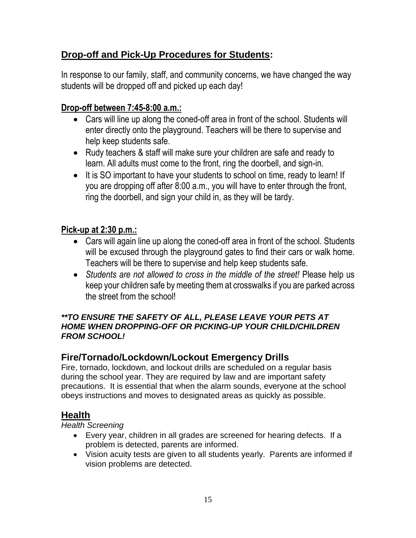# **Drop-off and Pick-Up Procedures for Students:**

In response to our family, staff, and community concerns, we have changed the way students will be dropped off and picked up each day!

# **Drop-off between 7:45-8:00 a.m.:**

- Cars will line up along the coned-off area in front of the school. Students will enter directly onto the playground. Teachers will be there to supervise and help keep students safe.
- Rudy teachers & staff will make sure your children are safe and ready to learn. All adults must come to the front, ring the doorbell, and sign-in.
- It is SO important to have your students to school on time, ready to learn! If you are dropping off after 8:00 a.m., you will have to enter through the front, ring the doorbell, and sign your child in, as they will be tardy.

# **Pick-up at 2:30 p.m.:**

- Cars will again line up along the coned-off area in front of the school. Students will be excused through the playground gates to find their cars or walk home. Teachers will be there to supervise and help keep students safe.
- *Students are not allowed to cross in the middle of the street!* Please help us keep your children safe by meeting them at crosswalks if you are parked across the street from the school!

#### *\*\*TO ENSURE THE SAFETY OF ALL, PLEASE LEAVE YOUR PETS AT HOME WHEN DROPPING-OFF OR PICKING-UP YOUR CHILD/CHILDREN FROM SCHOOL!*

# **Fire/Tornado/Lockdown/Lockout Emergency Drills**

Fire, tornado, lockdown, and lockout drills are scheduled on a regular basis during the school year. They are required by law and are important safety precautions. It is essential that when the alarm sounds, everyone at the school obeys instructions and moves to designated areas as quickly as possible.

# **Health**

*Health Screening*

- Every year, children in all grades are screened for hearing defects. If a problem is detected, parents are informed.
- Vision acuity tests are given to all students yearly. Parents are informed if vision problems are detected.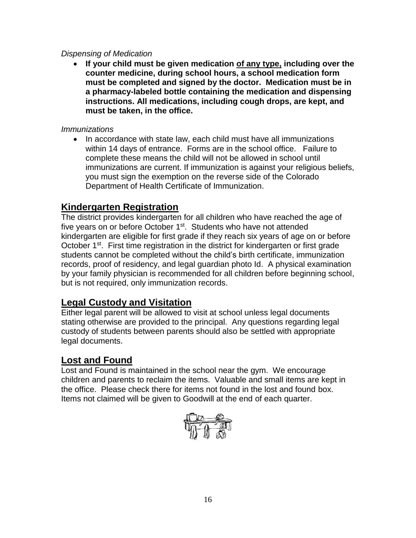#### *Dispensing of Medication*

• **If your child must be given medication of any type, including over the counter medicine, during school hours, a school medication form must be completed and signed by the doctor. Medication must be in a pharmacy-labeled bottle containing the medication and dispensing instructions. All medications, including cough drops, are kept, and must be taken, in the office.**

#### *Immunizations*

• In accordance with state law, each child must have all immunizations within 14 days of entrance. Forms are in the school office. Failure to complete these means the child will not be allowed in school until immunizations are current. If immunization is against your religious beliefs, you must sign the exemption on the reverse side of the Colorado Department of Health Certificate of Immunization.

# **Kindergarten Registration**

The district provides kindergarten for all children who have reached the age of five years on or before October 1<sup>st</sup>. Students who have not attended kindergarten are eligible for first grade if they reach six years of age on or before October 1<sup>st</sup>. First time registration in the district for kindergarten or first grade students cannot be completed without the child's birth certificate, immunization records, proof of residency, and legal guardian photo Id. A physical examination by your family physician is recommended for all children before beginning school, but is not required, only immunization records.

# **Legal Custody and Visitation**

Either legal parent will be allowed to visit at school unless legal documents stating otherwise are provided to the principal. Any questions regarding legal custody of students between parents should also be settled with appropriate legal documents.

# **Lost and Found**

Lost and Found is maintained in the school near the gym. We encourage children and parents to reclaim the items. Valuable and small items are kept in the office. Please check there for items not found in the lost and found box. Items not claimed will be given to Goodwill at the end of each quarter.

$$
\overbrace{\mathbb{D}^{\mathbb{D}}\mathbb{D}^{\mathbb{D}}\mathbb{C}}^{\mathbb{D}}
$$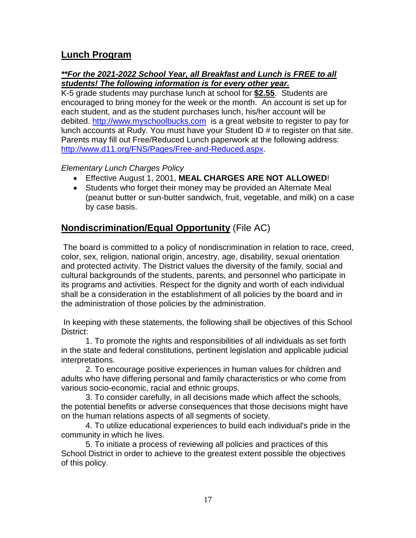# **Lunch Program**

#### *\*\*For the 2021-2022 School Year, all Breakfast and Lunch is FREE to all students! The following information is for every other year.*

K-5 grade students may purchase lunch at school for **\$2.55**. Students are encouraged to bring money for the week or the month. An account is set up for each student, and as the student purchases lunch, his/her account will be debited. [http://www.myschoolbucks.com](http://www.myschoolbucks.com/) is a great website to register to pay for lunch accounts at Rudy. You must have your Student ID # to register on that site. Parents may fill out Free/Reduced Lunch paperwork at the following address: [http://www.d11.org/FNS/Pages/Free-and-Reduced.aspx.](http://www.d11.org/FNS/Pages/Free-and-Reduced.aspx)

#### *Elementary Lunch Charges Policy*

- Effective August 1, 2001, **MEAL CHARGES ARE NOT ALLOWED**!
- Students who forget their money may be provided an Alternate Meal (peanut butter or sun-butter sandwich, fruit, vegetable, and milk) on a case by case basis.

# **Nondiscrimination/Equal Opportunity** (File AC)

The board is committed to a policy of nondiscrimination in relation to race, creed, color, sex, religion, national origin, ancestry, age, disability, sexual orientation and protected activity. The District values the diversity of the family, social and cultural backgrounds of the students, parents, and personnel who participate in its programs and activities. Respect for the dignity and worth of each individual shall be a consideration in the establishment of all policies by the board and in the administration of those policies by the administration.

In keeping with these statements, the following shall be objectives of this School District:

1. To promote the rights and responsibilities of all individuals as set forth in the state and federal constitutions, pertinent legislation and applicable judicial interpretations.

2. To encourage positive experiences in human values for children and adults who have differing personal and family characteristics or who come from various socio-economic, racial and ethnic groups.

3. To consider carefully, in all decisions made which affect the schools, the potential benefits or adverse consequences that those decisions might have on the human relations aspects of all segments of society.

4. To utilize educational experiences to build each individual's pride in the community in which he lives.

5. To initiate a process of reviewing all policies and practices of this School District in order to achieve to the greatest extent possible the objectives of this policy.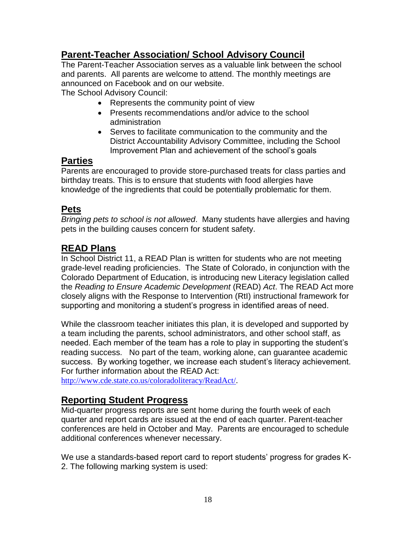# **Parent-Teacher Association/ School Advisory Council**

The Parent-Teacher Association serves as a valuable link between the school and parents. All parents are welcome to attend. The monthly meetings are announced on Facebook and on our website.

The School Advisory Council:

- Represents the community point of view
- Presents recommendations and/or advice to the school administration
- Serves to facilitate communication to the community and the District Accountability Advisory Committee, including the School Improvement Plan and achievement of the school's goals

### **Parties**

Parents are encouraged to provide store-purchased treats for class parties and birthday treats. This is to ensure that students with food allergies have knowledge of the ingredients that could be potentially problematic for them.

# **Pets**

*Bringing pets to school is not allowed*. Many students have allergies and having pets in the building causes concern for student safety.

# **READ Plans**

In School District 11, a READ Plan is written for students who are not meeting grade-level reading proficiencies. The State of Colorado, in conjunction with the Colorado Department of Education, is introducing new Literacy legislation called the *Reading to Ensure Academic Development* (READ) *Act*. The READ Act more closely aligns with the Response to Intervention (RtI) instructional framework for supporting and monitoring a student's progress in identified areas of need.

While the classroom teacher initiates this plan, it is developed and supported by a team including the parents, school administrators, and other school staff, as needed. Each member of the team has a role to play in supporting the student's reading success. No part of the team, working alone, can guarantee academic success. By working together, we increase each student's literacy achievement. For further information about the READ Act:

[http://www.cde.state.co.us/coloradoliteracy/ReadAct/.](http://www.cde.state.co.us/coloradoliteracy/ReadAct/)

# **Reporting Student Progress**

Mid-quarter progress reports are sent home during the fourth week of each quarter and report cards are issued at the end of each quarter. Parent-teacher conferences are held in October and May. Parents are encouraged to schedule additional conferences whenever necessary.

We use a standards-based report card to report students' progress for grades K-2. The following marking system is used: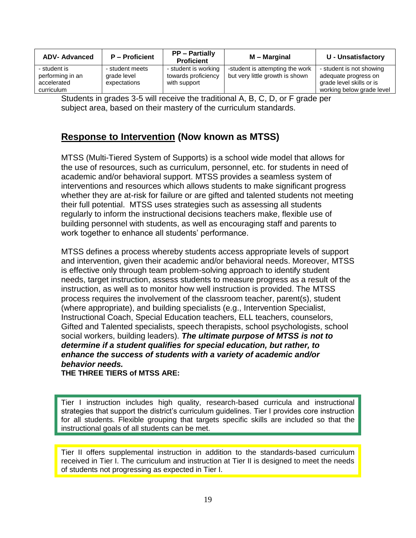| <b>ADV-Advanced</b>                                           | <b>P</b> – Proficient                          | <b>PP</b> – Partially<br><b>Proficient</b>                  | M – Marginal                                                       | <b>U</b> - Unsatisfactory                                                                                 |
|---------------------------------------------------------------|------------------------------------------------|-------------------------------------------------------------|--------------------------------------------------------------------|-----------------------------------------------------------------------------------------------------------|
| - student is<br>performing in an<br>accelerated<br>curriculum | - student meets<br>grade level<br>expectations | - student is working<br>towards proficiency<br>with support | -student is attempting the work<br>but very little growth is shown | - student is not showing<br>adequate progress on<br>grade level skills or is<br>working below grade level |

Students in grades 3-5 will receive the traditional A, B, C, D, or F grade per subject area, based on their mastery of the curriculum standards.

# **Response to Intervention (Now known as MTSS)**

MTSS (Multi-Tiered System of Supports) is a school wide model that allows for the use of resources, such as curriculum, personnel, etc. for students in need of academic and/or behavioral support. MTSS provides a seamless system of interventions and resources which allows students to make significant progress whether they are at-risk for failure or are gifted and talented students not meeting their full potential. MTSS uses strategies such as assessing all students regularly to inform the instructional decisions teachers make, flexible use of building personnel with students, as well as encouraging staff and parents to work together to enhance all students' performance.

MTSS defines a process whereby students access appropriate levels of support and intervention, given their academic and/or behavioral needs. Moreover, MTSS is effective only through team problem-solving approach to identify student needs, target instruction, assess students to measure progress as a result of the instruction, as well as to monitor how well instruction is provided. The MTSS process requires the involvement of the classroom teacher, parent(s), student (where appropriate), and building specialists (e.g., Intervention Specialist, Instructional Coach, Special Education teachers, ELL teachers, counselors, Gifted and Talented specialists, speech therapists, school psychologists, school social workers, building leaders). *The ultimate purpose of MTSS is not to determine if a student qualifies for special education, but rather, to enhance the success of students with a variety of academic and/or behavior needs.*

**THE THREE TIERS of MTSS ARE:** 

Tier I instruction includes high quality, research-based curricula and instructional strategies that support the district's curriculum guidelines. Tier I provides core instruction for all students. Flexible grouping that targets specific skills are included so that the instructional goals of all students can be met.

Tier II offers supplemental instruction in addition to the standards-based curriculum received in Tier I. The curriculum and instruction at Tier II is designed to meet the needs of students not progressing as expected in Tier I.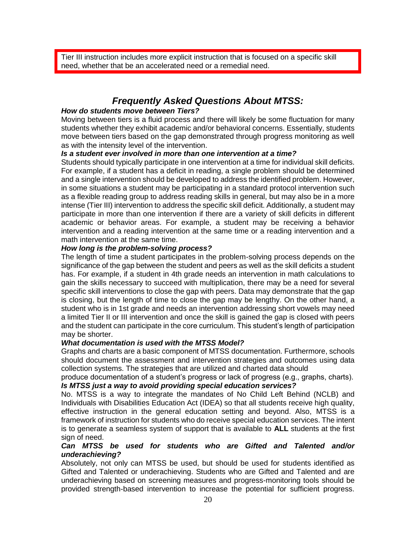Tier III instruction includes more explicit instruction that is focused on a specific skill need, whether that be an accelerated need or a remedial need.

## *Frequently Asked Questions About MTSS:*

#### *How do students move between Tiers?*

Moving between tiers is a fluid process and there will likely be some fluctuation for many students whether they exhibit academic and/or behavioral concerns. Essentially, students move between tiers based on the gap demonstrated through progress monitoring as well as with the intensity level of the intervention.

#### *Is a student ever involved in more than one intervention at a time?*

Students should typically participate in one intervention at a time for individual skill deficits. For example, if a student has a deficit in reading, a single problem should be determined and a single intervention should be developed to address the identified problem. However, in some situations a student may be participating in a standard protocol intervention such as a flexible reading group to address reading skills in general, but may also be in a more intense (Tier III) intervention to address the specific skill deficit. Additionally, a student may participate in more than one intervention if there are a variety of skill deficits in different academic or behavior areas. For example, a student may be receiving a behavior intervention and a reading intervention at the same time or a reading intervention and a math intervention at the same time.

#### *How long is the problem-solving process?*

The length of time a student participates in the problem-solving process depends on the significance of the gap between the student and peers as well as the skill deficits a student has. For example, if a student in 4th grade needs an intervention in math calculations to gain the skills necessary to succeed with multiplication, there may be a need for several specific skill interventions to close the gap with peers. Data may demonstrate that the gap is closing, but the length of time to close the gap may be lengthy. On the other hand, a student who is in 1st grade and needs an intervention addressing short vowels may need a limited Tier II or III intervention and once the skill is gained the gap is closed with peers and the student can participate in the core curriculum. This student's length of participation may be shorter.

#### *What documentation is used with the MTSS Model?*

Graphs and charts are a basic component of MTSS documentation. Furthermore, schools should document the assessment and intervention strategies and outcomes using data collection systems. The strategies that are utilized and charted data should

produce documentation of a student's progress or lack of progress (e.g., graphs, charts). *Is MTSS just a way to avoid providing special education services?* 

No. MTSS is a way to integrate the mandates of No Child Left Behind (NCLB) and Individuals with Disabilities Education Act (IDEA) so that all students receive high quality, effective instruction in the general education setting and beyond. Also, MTSS is a framework of instruction for students who do receive special education services. The intent is to generate a seamless system of support that is available to **ALL** students at the first sign of need.

#### *Can MTSS be used for students who are Gifted and Talented and/or underachieving?*

Absolutely, not only can MTSS be used, but should be used for students identified as Gifted and Talented or underachieving. Students who are Gifted and Talented and are underachieving based on screening measures and progress-monitoring tools should be provided strength-based intervention to increase the potential for sufficient progress.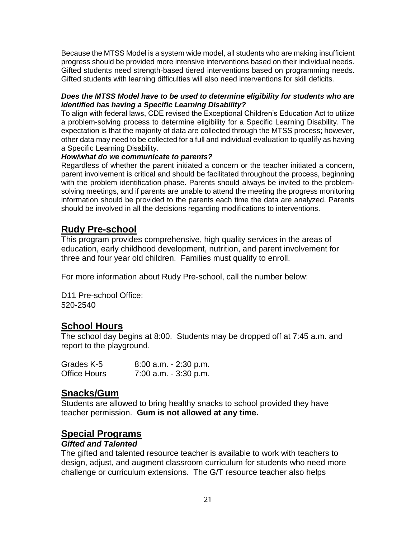Because the MTSS Model is a system wide model, all students who are making insufficient progress should be provided more intensive interventions based on their individual needs. Gifted students need strength-based tiered interventions based on programming needs. Gifted students with learning difficulties will also need interventions for skill deficits.

#### *Does the MTSS Model have to be used to determine eligibility for students who are identified has having a Specific Learning Disability?*

To align with federal laws, CDE revised the Exceptional Children's Education Act to utilize a problem-solving process to determine eligibility for a Specific Learning Disability. The expectation is that the majority of data are collected through the MTSS process; however, other data may need to be collected for a full and individual evaluation to qualify as having a Specific Learning Disability.

#### *How/what do we communicate to parents?*

Regardless of whether the parent initiated a concern or the teacher initiated a concern, parent involvement is critical and should be facilitated throughout the process, beginning with the problem identification phase. Parents should always be invited to the problemsolving meetings, and if parents are unable to attend the meeting the progress monitoring information should be provided to the parents each time the data are analyzed. Parents should be involved in all the decisions regarding modifications to interventions.

# **Rudy Pre-school**

This program provides comprehensive, high quality services in the areas of education, early childhood development, nutrition, and parent involvement for three and four year old children. Families must qualify to enroll.

For more information about Rudy Pre-school, call the number below:

D11 Pre-school Office: 520-2540

### **School Hours**

The school day begins at 8:00. Students may be dropped off at 7:45 a.m. and report to the playground.

| Grades K-5          | $8:00$ a.m. $-2:30$ p.m. |
|---------------------|--------------------------|
| <b>Office Hours</b> | $7:00$ a.m. $-3:30$ p.m. |

### **Snacks/Gum**

Students are allowed to bring healthy snacks to school provided they have teacher permission. **Gum is not allowed at any time.**

# **Special Programs**

#### *Gifted and Talented*

The gifted and talented resource teacher is available to work with teachers to design, adjust, and augment classroom curriculum for students who need more challenge or curriculum extensions. The G/T resource teacher also helps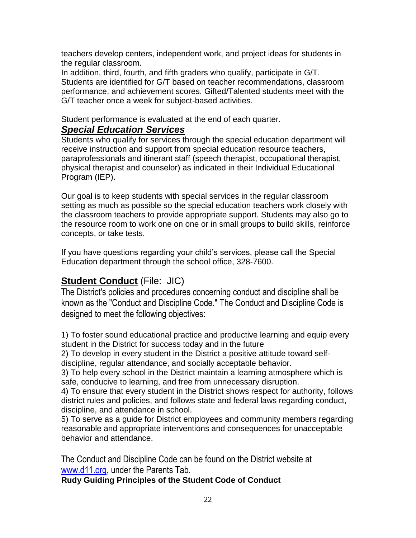teachers develop centers, independent work, and project ideas for students in the regular classroom.

In addition, third, fourth, and fifth graders who qualify, participate in G/T. Students are identified for G/T based on teacher recommendations, classroom performance, and achievement scores. Gifted/Talented students meet with the G/T teacher once a week for subject-based activities.

Student performance is evaluated at the end of each quarter.

# *Special Education Services*

Students who qualify for services through the special education department will receive instruction and support from special education resource teachers, paraprofessionals and itinerant staff (speech therapist, occupational therapist, physical therapist and counselor) as indicated in their Individual Educational Program (IEP).

Our goal is to keep students with special services in the regular classroom setting as much as possible so the special education teachers work closely with the classroom teachers to provide appropriate support. Students may also go to the resource room to work one on one or in small groups to build skills, reinforce concepts, or take tests.

If you have questions regarding your child's services, please call the Special Education department through the school office, 328-7600.

# **Student Conduct** (File: JIC)

The District's policies and procedures concerning conduct and discipline shall be known as the "Conduct and Discipline Code." The Conduct and Discipline Code is designed to meet the following objectives:

1) To foster sound educational practice and productive learning and equip every student in the District for success today and in the future

2) To develop in every student in the District a positive attitude toward selfdiscipline, regular attendance, and socially acceptable behavior.

3) To help every school in the District maintain a learning atmosphere which is safe, conducive to learning, and free from unnecessary disruption.

4) To ensure that every student in the District shows respect for authority, follows district rules and policies, and follows state and federal laws regarding conduct, discipline, and attendance in school.

5) To serve as a guide for District employees and community members regarding reasonable and appropriate interventions and consequences for unacceptable behavior and attendance.

The Conduct and Discipline Code can be found on the District website at [www.d11.org,](http://www.d11.org/) under the Parents Tab.

**Rudy Guiding Principles of the Student Code of Conduct**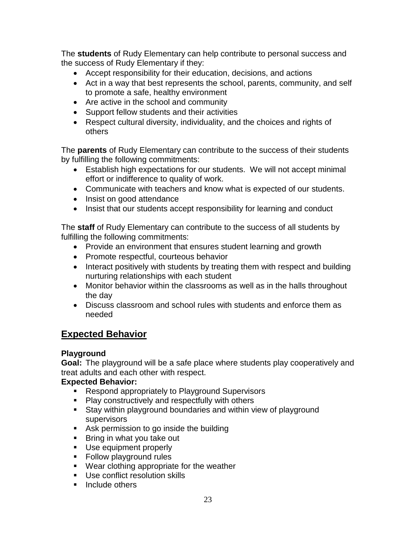The **students** of Rudy Elementary can help contribute to personal success and the success of Rudy Elementary if they:

- Accept responsibility for their education, decisions, and actions
- Act in a way that best represents the school, parents, community, and self to promote a safe, healthy environment
- Are active in the school and community
- Support fellow students and their activities
- Respect cultural diversity, individuality, and the choices and rights of others

The **parents** of Rudy Elementary can contribute to the success of their students by fulfilling the following commitments:

- Establish high expectations for our students. We will not accept minimal effort or indifference to quality of work.
- Communicate with teachers and know what is expected of our students.
- Insist on good attendance
- Insist that our students accept responsibility for learning and conduct

The **staff** of Rudy Elementary can contribute to the success of all students by fulfilling the following commitments:

- Provide an environment that ensures student learning and growth
- Promote respectful, courteous behavior
- Interact positively with students by treating them with respect and building nurturing relationships with each student
- Monitor behavior within the classrooms as well as in the halls throughout the day
- Discuss classroom and school rules with students and enforce them as needed

# **Expected Behavior**

#### **Playground**

**Goal:** The playground will be a safe place where students play cooperatively and treat adults and each other with respect.

#### **Expected Behavior:**

- Respond appropriately to Playground Supervisors
- Play constructively and respectfully with others
- Stay within playground boundaries and within view of playground supervisors
- Ask permission to go inside the building
- Bring in what you take out
- Use equipment properly
- Follow playground rules
- Wear clothing appropriate for the weather
- Use conflict resolution skills
- Include others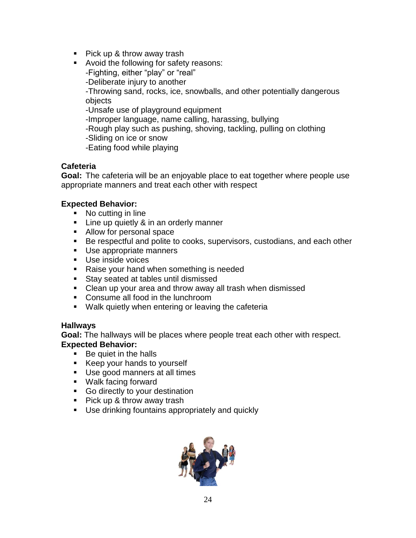- Pick up & throw away trash
- Avoid the following for safety reasons: -Fighting, either "play" or "real" -Deliberate injury to another -Throwing sand, rocks, ice, snowballs, and other potentially dangerous objects -Unsafe use of playground equipment -Improper language, name calling, harassing, bullying -Rough play such as pushing, shoving, tackling, pulling on clothing -Sliding on ice or snow -Eating food while playing

#### **Cafeteria**

**Goal:** The cafeteria will be an enjoyable place to eat together where people use appropriate manners and treat each other with respect

#### **Expected Behavior:**

- No cutting in line
- **EXED** Line up quietly & in an orderly manner
- Allow for personal space
- Be respectful and polite to cooks, supervisors, custodians, and each other
- Use appropriate manners
- Use inside voices
- Raise your hand when something is needed
- Stay seated at tables until dismissed
- Clean up your area and throw away all trash when dismissed
- Consume all food in the lunchroom
- Walk quietly when entering or leaving the cafeteria

#### **Hallways**

**Goal:** The hallways will be places where people treat each other with respect. **Expected Behavior:**

- Be quiet in the halls
- Keep your hands to yourself
- Use good manners at all times
- Walk facing forward
- Go directly to your destination
- Pick up & throw away trash
- Use drinking fountains appropriately and quickly

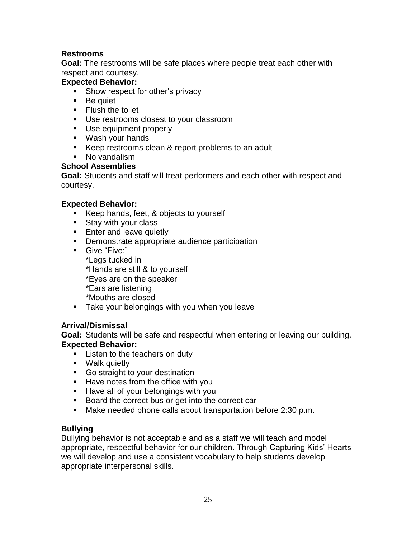#### **Restrooms**

**Goal:** The restrooms will be safe places where people treat each other with respect and courtesy.

#### **Expected Behavior:**

- Show respect for other's privacy
- Be quiet
- Flush the toilet
- Use restrooms closest to your classroom
- Use equipment properly
- Wash your hands
- Keep restrooms clean & report problems to an adult
- No vandalism

#### **School Assemblies**

**Goal:** Students and staff will treat performers and each other with respect and courtesy.

#### **Expected Behavior:**

- Keep hands, feet, & objects to yourself
- Stay with your class
- **Enter and leave quietly**
- Demonstrate appropriate audience participation
- Give "Five:" \*Legs tucked in \*Hands are still & to yourself \*Eyes are on the speaker \*Ears are listening \*Mouths are closed
- **EXE** Take your belongings with you when you leave

#### **Arrival/Dismissal**

**Goal:** Students will be safe and respectful when entering or leaving our building. **Expected Behavior:**

- Listen to the teachers on duty
- Walk quietly
- Go straight to your destination
- Have notes from the office with you
- **E** Have all of your belongings with you
- Board the correct bus or get into the correct car
- Make needed phone calls about transportation before 2:30 p.m.

#### **Bullying**

Bullying behavior is not acceptable and as a staff we will teach and model appropriate, respectful behavior for our children. Through Capturing Kids' Hearts we will develop and use a consistent vocabulary to help students develop appropriate interpersonal skills.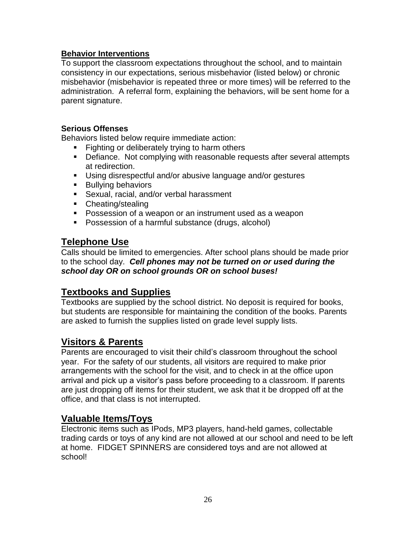#### **Behavior Interventions**

To support the classroom expectations throughout the school, and to maintain consistency in our expectations, serious misbehavior (listed below) or chronic misbehavior (misbehavior is repeated three or more times) will be referred to the administration. A referral form, explaining the behaviors, will be sent home for a parent signature.

#### **Serious Offenses**

Behaviors listed below require immediate action:

- Fighting or deliberately trying to harm others
- Defiance. Not complying with reasonable requests after several attempts at redirection.
- Using disrespectful and/or abusive language and/or gestures
- Bullying behaviors
- **EXECT** Sexual, racial, and/or verbal harassment
- Cheating/stealing
- Possession of a weapon or an instrument used as a weapon
- Possession of a harmful substance (drugs, alcohol)

### **Telephone Use**

Calls should be limited to emergencies. After school plans should be made prior to the school day. *Cell phones may not be turned on or used during the school day OR on school grounds OR on school buses!*

### **Textbooks and Supplies**

Textbooks are supplied by the school district. No deposit is required for books, but students are responsible for maintaining the condition of the books. Parents are asked to furnish the supplies listed on grade level supply lists.

### **Visitors & Parents**

Parents are encouraged to visit their child's classroom throughout the school year. For the safety of our students, all visitors are required to make prior arrangements with the school for the visit, and to check in at the office upon arrival and pick up a visitor's pass before proceeding to a classroom. If parents are just dropping off items for their student, we ask that it be dropped off at the office, and that class is not interrupted.

### **Valuable Items/Toys**

Electronic items such as IPods, MP3 players, hand-held games, collectable trading cards or toys of any kind are not allowed at our school and need to be left at home. FIDGET SPINNERS are considered toys and are not allowed at school!